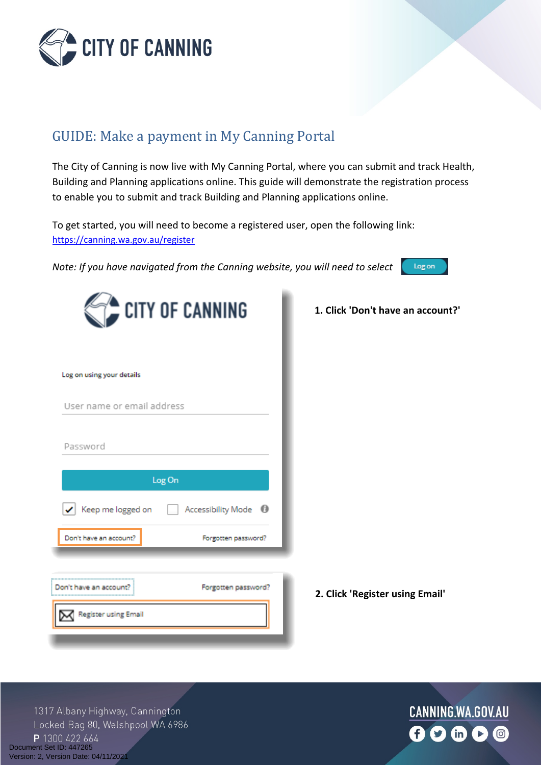

## GUIDE: Make a payment in My Canning Portal

The City of Canning is now live with My Canning Portal, where you can submit and track Health, Building and Planning applications online. This guide will demonstrate the registration process to enable you to submit and track Building and Planning applications online.

To get started, you will need to become a registered user, open the following link: <https://canning.wa.gov.au/register>

*Note: If you have navigated from the Canning website, you will need to select* 



|                                         | CITY OF CANNING                 |
|-----------------------------------------|---------------------------------|
| Log on using your details               |                                 |
| User name or email address              |                                 |
| Password                                |                                 |
| Log On                                  |                                 |
| $\blacktriangleright$ Keep me logged on | Accessibility Mode <sup>1</sup> |
| Don't have an account?                  | Forgotten password?             |
|                                         |                                 |
| Don't have an account?                  | Forgotten password?             |
| Register using Email                    |                                 |

**1. Click 'Don't have an account?'**

**2. Click 'Register using Email'**

1317 Albany Highway, Cannington Locked Bag 80, Welshpool WA 6986 P 1300 422 664 Document Set ID: 447265<br>Version: 2, Version Date: 04/11/2021